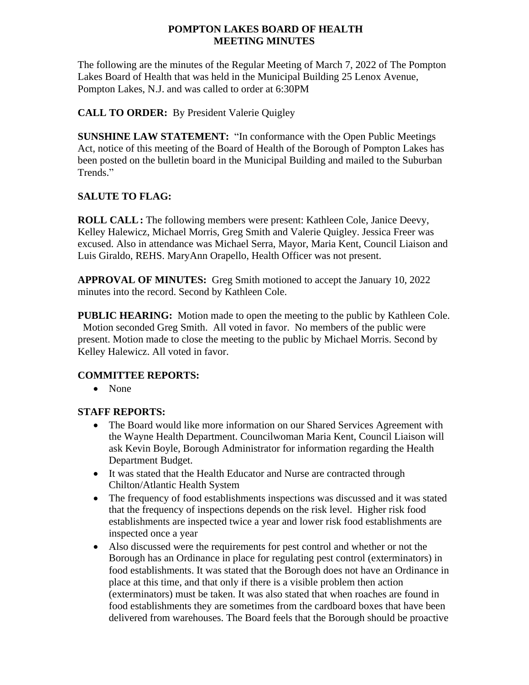## **POMPTON LAKES BOARD OF HEALTH MEETING MINUTES**

The following are the minutes of the Regular Meeting of March 7, 2022 of The Pompton Lakes Board of Health that was held in the Municipal Building 25 Lenox Avenue, Pompton Lakes, N.J. and was called to order at 6:30PM

# **CALL TO ORDER:** By President Valerie Quigley

**SUNSHINE LAW STATEMENT:** "In conformance with the Open Public Meetings Act, notice of this meeting of the Board of Health of the Borough of Pompton Lakes has been posted on the bulletin board in the Municipal Building and mailed to the Suburban Trends."

# **SALUTE TO FLAG:**

**ROLL CALL:** The following members were present: Kathleen Cole, Janice Deevy, Kelley Halewicz, Michael Morris, Greg Smith and Valerie Quigley. Jessica Freer was excused. Also in attendance was Michael Serra, Mayor, Maria Kent, Council Liaison and Luis Giraldo, REHS. MaryAnn Orapello, Health Officer was not present.

**APPROVAL OF MINUTES:** Greg Smith motioned to accept the January 10, 2022 minutes into the record. Second by Kathleen Cole.

**PUBLIC HEARING:** Motion made to open the meeting to the public by Kathleen Cole. Motion seconded Greg Smith. All voted in favor. No members of the public were present. Motion made to close the meeting to the public by Michael Morris. Second by Kelley Halewicz. All voted in favor.

### **COMMITTEE REPORTS:**

• None

### **STAFF REPORTS:**

- The Board would like more information on our Shared Services Agreement with the Wayne Health Department. Councilwoman Maria Kent, Council Liaison will ask Kevin Boyle, Borough Administrator for information regarding the Health Department Budget.
- It was stated that the Health Educator and Nurse are contracted through Chilton/Atlantic Health System
- The frequency of food establishments inspections was discussed and it was stated that the frequency of inspections depends on the risk level. Higher risk food establishments are inspected twice a year and lower risk food establishments are inspected once a year
- Also discussed were the requirements for pest control and whether or not the Borough has an Ordinance in place for regulating pest control (exterminators) in food establishments. It was stated that the Borough does not have an Ordinance in place at this time, and that only if there is a visible problem then action (exterminators) must be taken. It was also stated that when roaches are found in food establishments they are sometimes from the cardboard boxes that have been delivered from warehouses. The Board feels that the Borough should be proactive